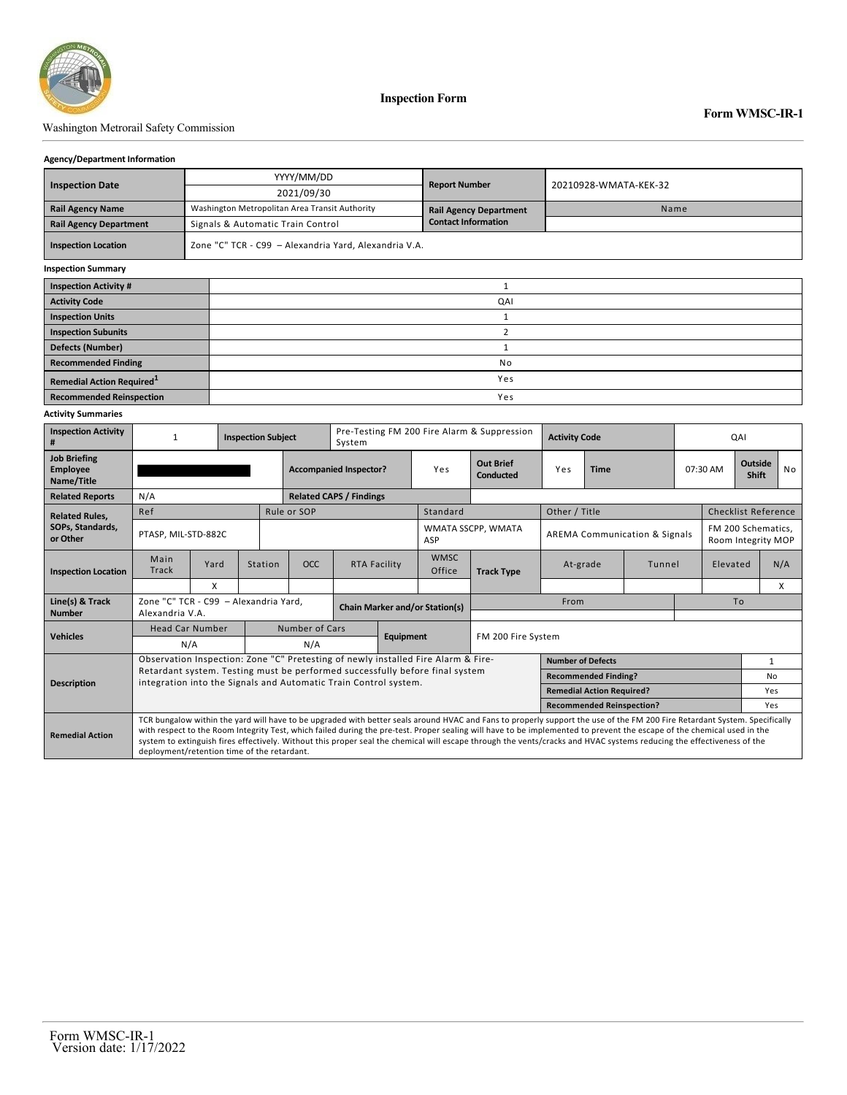

#### Washington Metrorail Safety Commission

#### **Agency/Department Information**

|                                       |  | YYYY/MM/DD                                            |                               | 20210928-WMATA-KEK-32 |  |  |  |  |  |
|---------------------------------------|--|-------------------------------------------------------|-------------------------------|-----------------------|--|--|--|--|--|
| <b>Inspection Date</b>                |  | 2021/09/30                                            | <b>Report Number</b>          |                       |  |  |  |  |  |
| <b>Rail Agency Name</b>               |  | Washington Metropolitan Area Transit Authority        | <b>Rail Agency Department</b> | Name                  |  |  |  |  |  |
| <b>Rail Agency Department</b>         |  | Signals & Automatic Train Control                     | <b>Contact Information</b>    |                       |  |  |  |  |  |
| <b>Inspection Location</b>            |  | Zone "C" TCR - C99 - Alexandria Yard, Alexandria V.A. |                               |                       |  |  |  |  |  |
| <b>Inspection Summary</b>             |  |                                                       |                               |                       |  |  |  |  |  |
| <b>Inspection Activity #</b>          |  |                                                       |                               |                       |  |  |  |  |  |
| <b>Activity Code</b>                  |  | QAI                                                   |                               |                       |  |  |  |  |  |
| <b>Inspection Units</b>               |  |                                                       |                               |                       |  |  |  |  |  |
| <b>Inspection Subunits</b>            |  | $\overline{2}$                                        |                               |                       |  |  |  |  |  |
| <b>Defects (Number)</b>               |  |                                                       |                               |                       |  |  |  |  |  |
| <b>Recommended Finding</b>            |  |                                                       | No                            |                       |  |  |  |  |  |
| Remedial Action Required <sup>1</sup> |  |                                                       |                               |                       |  |  |  |  |  |
| <b>Recommended Reinspection</b>       |  |                                                       | Yes                           |                       |  |  |  |  |  |

#### **Activity Summaries**

| <b>Inspection Activity</b><br>#                      | <b>Inspection Subject</b>                                                                                                                        |      |                                |                                       | Pre-Testing FM 200 Fire Alarm & Suppression<br>System |     |                               |                                                                                                                                                                                                                                                                                                                                                                                                                                                                                                                                | <b>Activity Code</b>                     | QAI                         |          |  |                                          |                |     |  |
|------------------------------------------------------|--------------------------------------------------------------------------------------------------------------------------------------------------|------|--------------------------------|---------------------------------------|-------------------------------------------------------|-----|-------------------------------|--------------------------------------------------------------------------------------------------------------------------------------------------------------------------------------------------------------------------------------------------------------------------------------------------------------------------------------------------------------------------------------------------------------------------------------------------------------------------------------------------------------------------------|------------------------------------------|-----------------------------|----------|--|------------------------------------------|----------------|-----|--|
| <b>Job Briefing</b><br><b>Employee</b><br>Name/Title |                                                                                                                                                  |      | <b>Accompanied Inspector?</b>  |                                       |                                                       | Yes | <b>Out Brief</b><br>Conducted | Yes                                                                                                                                                                                                                                                                                                                                                                                                                                                                                                                            | <b>Time</b>                              |                             | 07:30 AM |  | <b>Outside</b><br>Shift                  | N <sub>o</sub> |     |  |
| <b>Related Reports</b>                               | N/A                                                                                                                                              |      | <b>Related CAPS / Findings</b> |                                       |                                                       |     |                               |                                                                                                                                                                                                                                                                                                                                                                                                                                                                                                                                |                                          |                             |          |  |                                          |                |     |  |
| <b>Related Rules,</b>                                | Ref                                                                                                                                              |      |                                | Rule or SOP                           |                                                       |     | Standard                      |                                                                                                                                                                                                                                                                                                                                                                                                                                                                                                                                | Other / Title                            |                             |          |  | <b>Checklist Reference</b>               |                |     |  |
| SOPs, Standards,<br>or Other                         | PTASP, MIL-STD-882C                                                                                                                              |      |                                |                                       |                                                       |     | ASP                           | WMATA SSCPP, WMATA                                                                                                                                                                                                                                                                                                                                                                                                                                                                                                             | <b>AREMA Communication &amp; Signals</b> |                             |          |  | FM 200 Schematics,<br>Room Integrity MOP |                |     |  |
| <b>Inspection Location</b>                           | Main<br>Track                                                                                                                                    | Yard | Station                        | <b>OCC</b>                            | <b>RTA Facility</b>                                   |     | <b>WMSC</b><br>Office         | <b>Track Type</b>                                                                                                                                                                                                                                                                                                                                                                                                                                                                                                              | At-grade                                 |                             | Tunnel   |  | Elevated                                 |                | N/A |  |
|                                                      |                                                                                                                                                  | X    |                                |                                       |                                                       |     |                               |                                                                                                                                                                                                                                                                                                                                                                                                                                                                                                                                |                                          |                             |          |  |                                          |                | X   |  |
| Line(s) & Track<br><b>Number</b>                     | Zone "C" TCR - C99 - Alexandria Yard.<br>Alexandria V.A.                                                                                         |      |                                | <b>Chain Marker and/or Station(s)</b> |                                                       |     | From                          |                                                                                                                                                                                                                                                                                                                                                                                                                                                                                                                                |                                          |                             | To       |  |                                          |                |     |  |
| <b>Vehicles</b>                                      | <b>Head Car Number</b>                                                                                                                           |      |                                | Number of Cars                        |                                                       |     |                               |                                                                                                                                                                                                                                                                                                                                                                                                                                                                                                                                |                                          |                             |          |  |                                          |                |     |  |
|                                                      | N/A                                                                                                                                              |      |                                | Equipment<br>N/A                      |                                                       |     |                               | FM 200 Fire System                                                                                                                                                                                                                                                                                                                                                                                                                                                                                                             |                                          |                             |          |  |                                          |                |     |  |
| <b>Description</b>                                   | Observation Inspection: Zone "C" Pretesting of newly installed Fire Alarm & Fire-                                                                |      |                                | <b>Number of Defects</b>              |                                                       |     |                               |                                                                                                                                                                                                                                                                                                                                                                                                                                                                                                                                | $\mathbf{1}$                             |                             |          |  |                                          |                |     |  |
|                                                      | Retardant system. Testing must be performed successfully before final system<br>integration into the Signals and Automatic Train Control system. |      |                                |                                       |                                                       |     |                               |                                                                                                                                                                                                                                                                                                                                                                                                                                                                                                                                |                                          | <b>Recommended Finding?</b> |          |  |                                          |                | No  |  |
|                                                      |                                                                                                                                                  |      |                                |                                       |                                                       |     |                               |                                                                                                                                                                                                                                                                                                                                                                                                                                                                                                                                | <b>Remedial Action Required?</b>         |                             |          |  |                                          |                | Yes |  |
|                                                      |                                                                                                                                                  |      |                                |                                       |                                                       |     |                               |                                                                                                                                                                                                                                                                                                                                                                                                                                                                                                                                | <b>Recommended Reinspection?</b>         |                             |          |  |                                          |                | Yes |  |
| <b>Remedial Action</b>                               | deployment/retention time of the retardant.                                                                                                      |      |                                |                                       |                                                       |     |                               | TCR bungalow within the yard will have to be upgraded with better seals around HVAC and Fans to properly support the use of the FM 200 Fire Retardant System. Specifically<br>with respect to the Room Integrity Test, which failed during the pre-test. Proper sealing will have to be implemented to prevent the escape of the chemical used in the<br>system to extinguish fires effectively. Without this proper seal the chemical will escape through the vents/cracks and HVAC systems reducing the effectiveness of the |                                          |                             |          |  |                                          |                |     |  |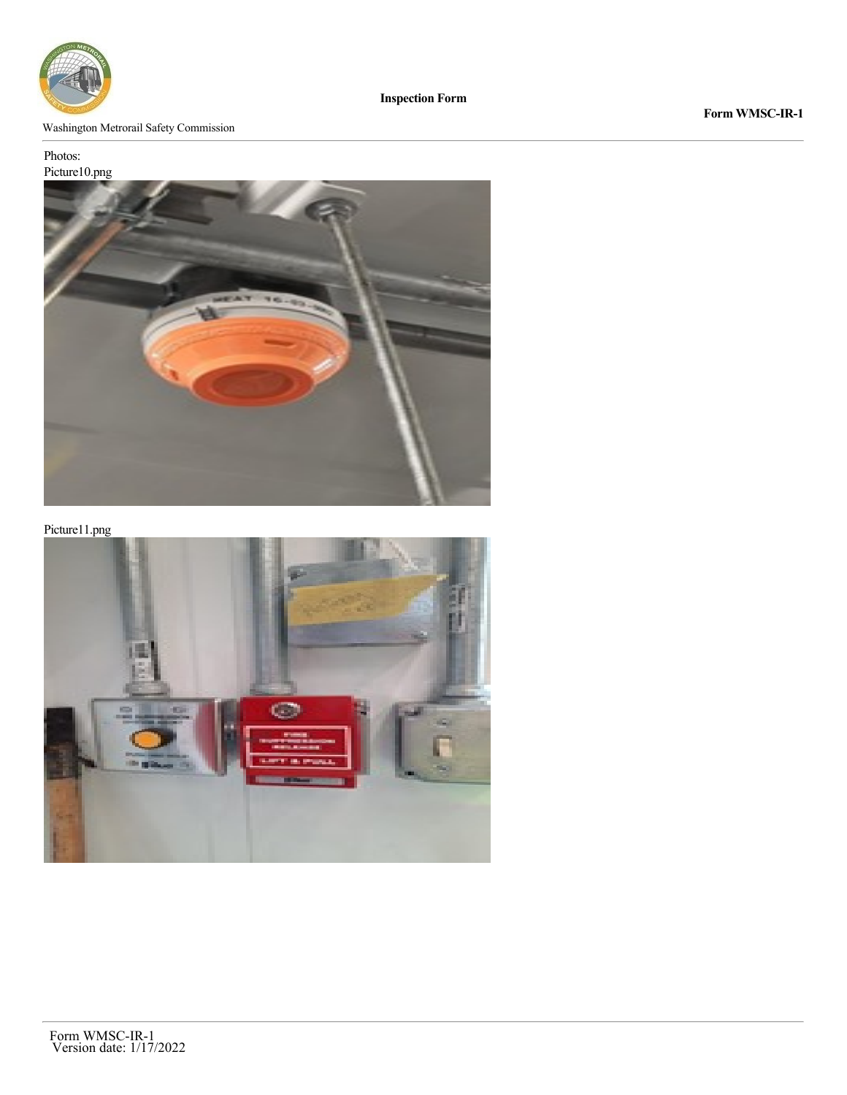

# Washington Metrorail Safety Commission

# Photos:



Picture11.png

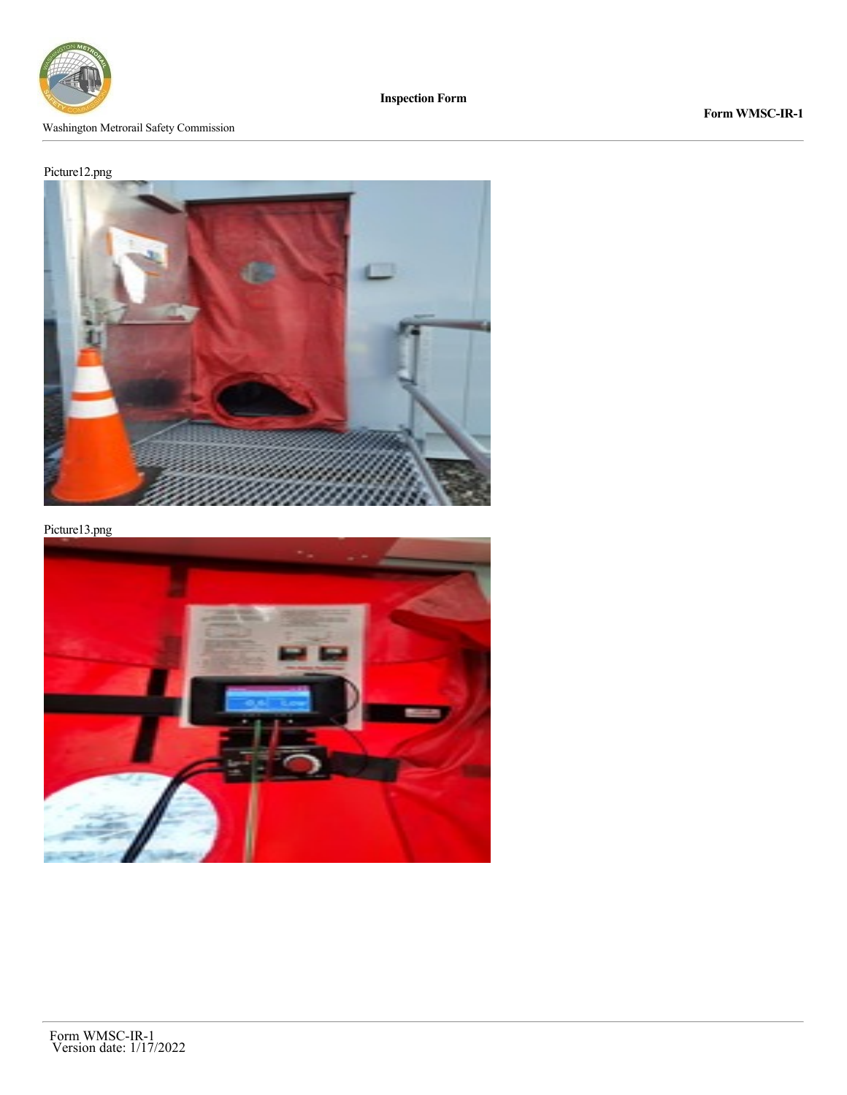

Washington Metrorail Safety Commission

**Form WMSC-IR-1**

# Picture12.png



Picture13.png

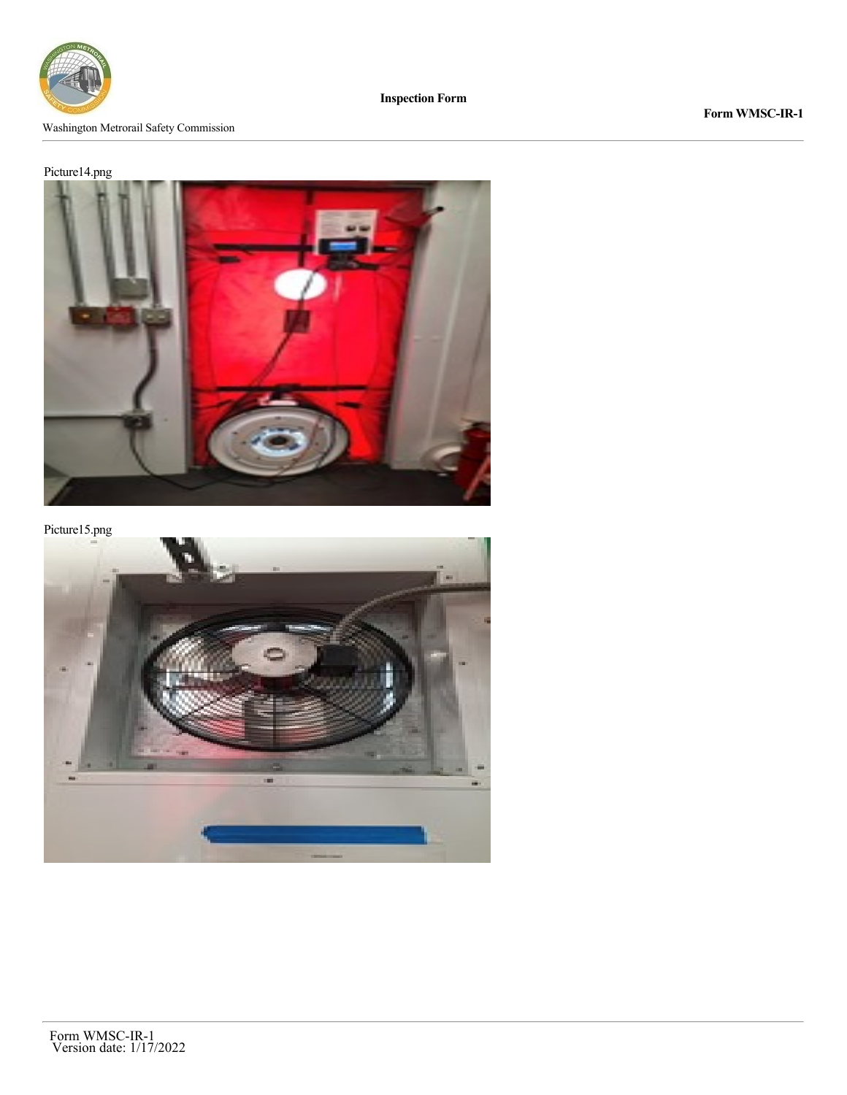

#### Washington Metrorail Safety Commission

**Form WMSC-IR-1**

# Picture14.png



Picture15.png

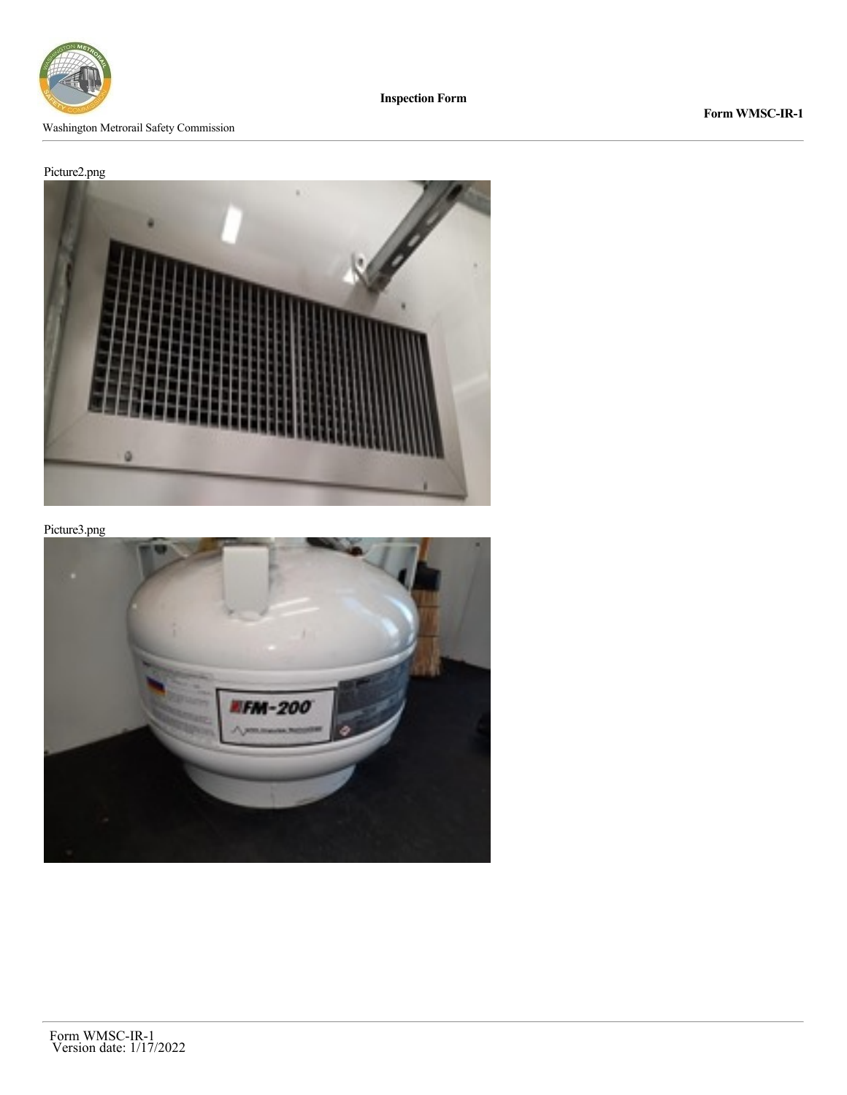

**Form WMSC-IR-1**

# Picture2.png



Picture3.png

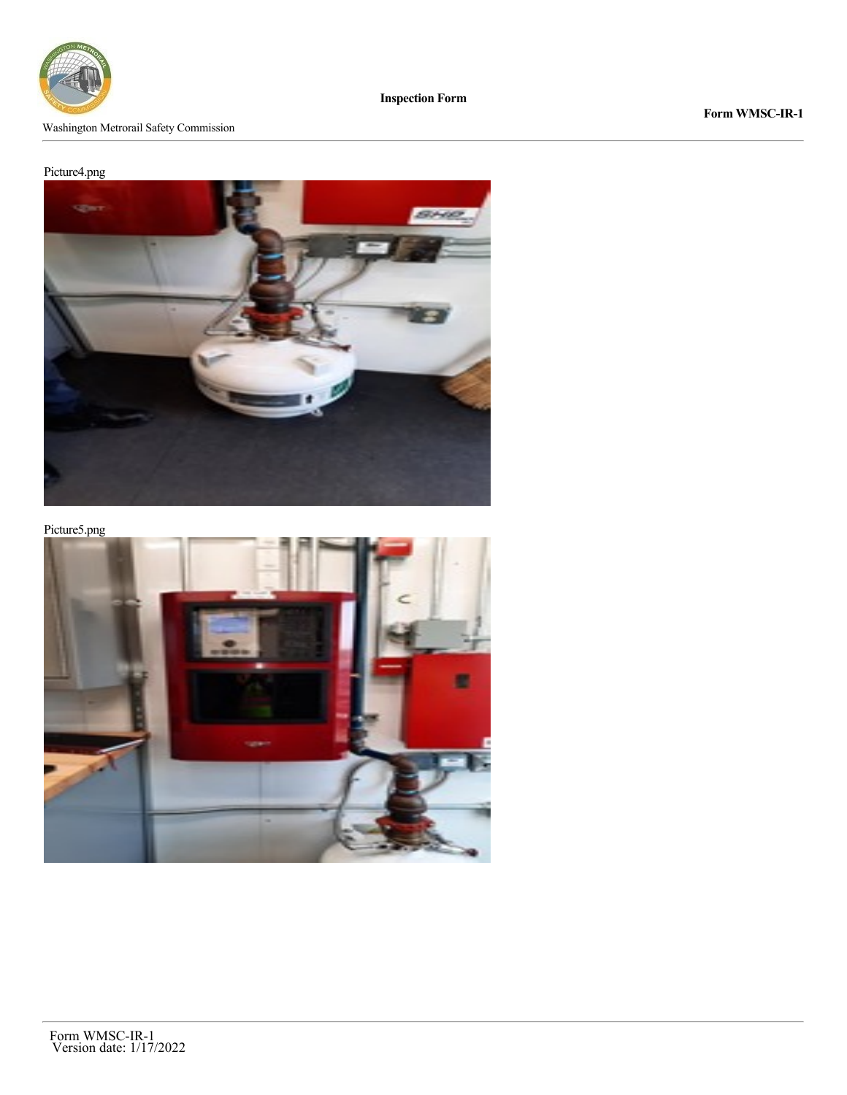

Washington Metrorail Safety Commission

**Form WMSC-IR-1**

# Picture4.png



Picture5.png

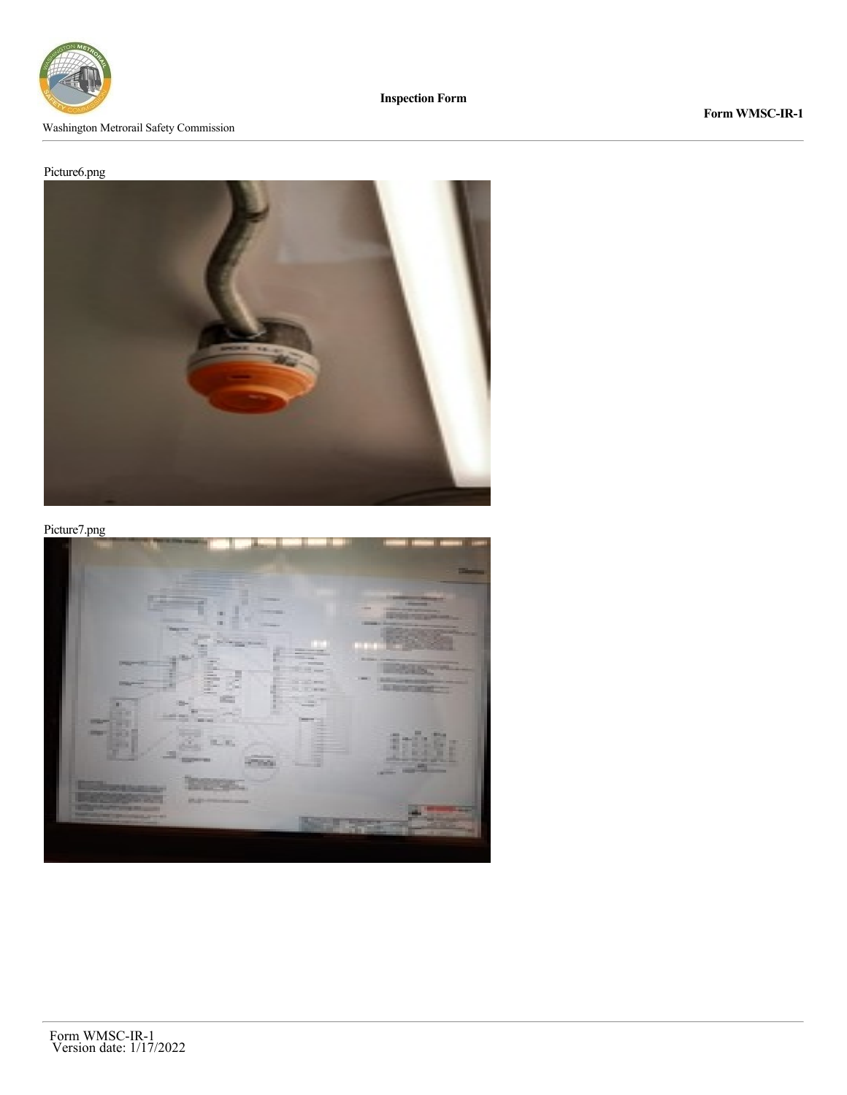

#### Washington Metrorail Safety Commission

# **Form WMSC-IR-1**

# Picture6.png



Picture7.png